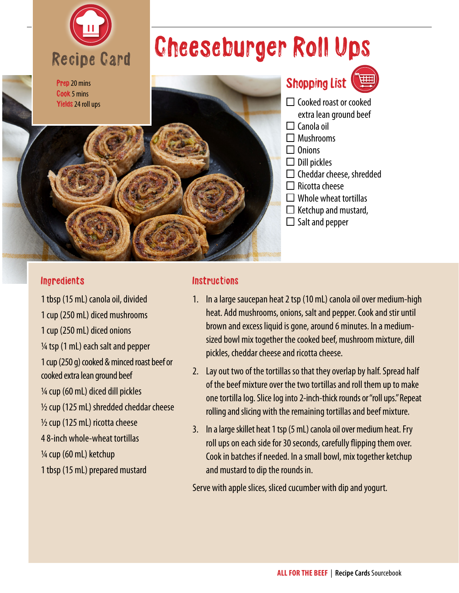

## Cheeseburger Roll Ups



Shopping List



- $\Box$  Cooked roast or cooked
- extra lean ground beef  $\Box$  Canola oil
- Mushrooms
- $\Box$  Onions
- $\Box$  Dill pickles
- $\square$  Cheddar cheese, shredded
- $\Box$  Ricotta cheese
- $\Box$  Whole wheat tortillas
- $\Box$  Ketchup and mustard,
- $\Box$  Salt and pepper

## Ingredients

1 tbsp (15 mL) canola oil, divided 1 cup (250 mL) diced mushrooms 1 cup (250 mL) diced onions  $\frac{1}{4}$  tsp (1 mL) each salt and pepper 1 cup (250 g) cooked & minced roast beef or cooked extra lean ground beef  $\frac{1}{4}$  cup (60 mL) diced dill pickles  $\frac{1}{2}$  cup (125 mL) shredded cheddar cheese  $\frac{1}{2}$  cup (125 mL) ricotta cheese 4 8-inch whole-wheat tortillas 1/4 cup (60 mL) ketchup 1 tbsp (15 mL) prepared mustard

## **Instructions**

- 1. In a large saucepan heat 2 tsp (10 mL) canola oil over medium-high heat. Add mushrooms, onions, salt and pepper. Cook and stir until brown and excess liquid is gone, around 6 minutes. In a mediumsized bowl mix together the cooked beef, mushroom mixture, dill pickles, cheddar cheese and ricotta cheese.
- 2. Lay out two of the tortillas so that they overlap by half. Spread half of the beef mixture over the two tortillas and roll them up to make one tortilla log. Slice log into 2-inch-thick rounds or "roll ups." Repeat rolling and slicing with the remaining tortillas and beef mixture.
- 3. In a large skillet heat 1 tsp (5 mL) canola oil over medium heat. Fry roll ups on each side for 30 seconds, carefully flipping them over. Cook in batches if needed. In a small bowl, mix together ketchup and mustard to dip the rounds in.

Serve with apple slices, sliced cucumber with dip and yogurt.